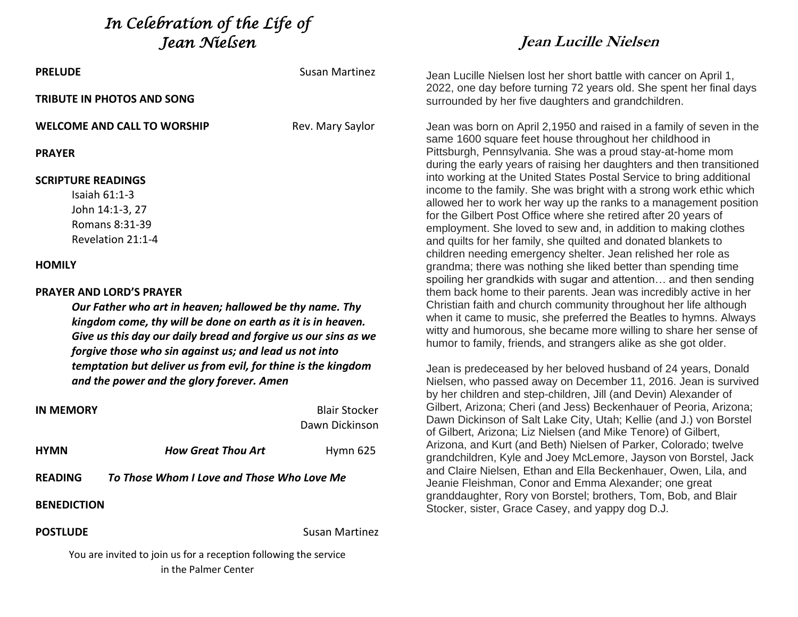*In Celebration of the Life of Jean Nielsen* 

| <b>PRELUDE</b>                                                                                                                                                                                                                                                                                                                                                                                      | Susan Martinez   |  |
|-----------------------------------------------------------------------------------------------------------------------------------------------------------------------------------------------------------------------------------------------------------------------------------------------------------------------------------------------------------------------------------------------------|------------------|--|
| TRIBUTE IN PHOTOS AND SONG                                                                                                                                                                                                                                                                                                                                                                          |                  |  |
| <b>WELCOME AND CALL TO WORSHIP</b>                                                                                                                                                                                                                                                                                                                                                                  | Rev. Mary Saylor |  |
| <b>PRAYFR</b>                                                                                                                                                                                                                                                                                                                                                                                       |                  |  |
| <b>SCRIPTURE READINGS</b><br>Isaiah $61:1-3$<br>John 14:1-3, 27<br>Romans 8:31-39<br>Revelation 21:1-4                                                                                                                                                                                                                                                                                              |                  |  |
| <b>HOMILY</b>                                                                                                                                                                                                                                                                                                                                                                                       |                  |  |
| <b>PRAYER AND LORD'S PRAYER</b><br>Our Father who art in heaven; hallowed be thy name. Thy<br>kingdom come, thy will be done on earth as it is in heaven.<br>Give us this day our daily bread and forgive us our sins as we<br>forgive those who sin against us; and lead us not into<br>temptation but deliver us from evil, for thine is the kingdom<br>and the power and the glory forever. Amen |                  |  |

| <b>IN MEMORY</b>                                                 |                           | <b>Blair Stocker</b>                       |  |
|------------------------------------------------------------------|---------------------------|--------------------------------------------|--|
|                                                                  |                           | Dawn Dickinson                             |  |
| <b>HYMN</b>                                                      | <b>How Great Thou Art</b> | Hymn 625                                   |  |
| <b>READING</b>                                                   |                           | To Those Whom I Love and Those Who Love Me |  |
| <b>BENEDICTION</b>                                               |                           |                                            |  |
| <b>POSTLUDE</b>                                                  |                           | Susan Martinez                             |  |
| You are invited to join us for a recention following the service |                           |                                            |  |

## **Jean Lucille Nielsen**

Jean Lucille Nielsen lost her short battle with cancer on April 1, 2022, one day before turning 72 years old. She spent her final days surrounded by her five daughters and grandchildren.

Jean was born on April 2,1950 and raised in a family of seven in the same 1600 square feet house throughout her childhood in Pittsburgh, Pennsylvania. She was a proud stay-at-home mom during the early years of raising her daughters and then transitioned into working at the United States Postal Service to bring additional income to the family. She was bright with a strong work ethic which allowed her to work her way up the ranks to a management position for the Gilbert Post Office where she retired after 20 years of employment. She loved to sew and, in addition to making clothes and quilts for her family, she quilted and donated blankets to children needing emergency shelter. Jean relished her role as grandma; there was nothing she liked better than spending time spoiling her grandkids with sugar and attention… and then sending them back home to their parents. Jean was incredibly active in her Christian faith and church community throughout her life although when it came to music, she preferred the Beatles to hymns. Always witty and humorous, she became more willing to share her sense of humor to family, friends, and strangers alike as she got older.

Jean is predeceased by her beloved husband of 24 years, Donald Nielsen, who passed away on December 11, 2016. Jean is survived by her children and step-children, Jill (and Devin) Alexander of Gilbert, Arizona; Cheri (and Jess) Beckenhauer of Peoria, Arizona; Dawn Dickinson of Salt Lake City, Utah; Kellie (and J.) von Borstel of Gilbert, Arizona; Liz Nielsen (and Mike Tenore) of Gilbert, Arizona, and Kurt (and Beth) Nielsen of Parker, Colorado; twelve grandchildren, Kyle and Joey McLemore, Jayson von Borstel, Jack and Claire Nielsen, Ethan and Ella Beckenhauer, Owen, Lila, and Jeanie Fleishman, Conor and Emma Alexander; one great granddaughter, Rory von Borstel; brothers, Tom, Bob, and Blair Stocker, sister, Grace Casey, and yappy dog D.J.

or a reception following the service in the Palmer Center